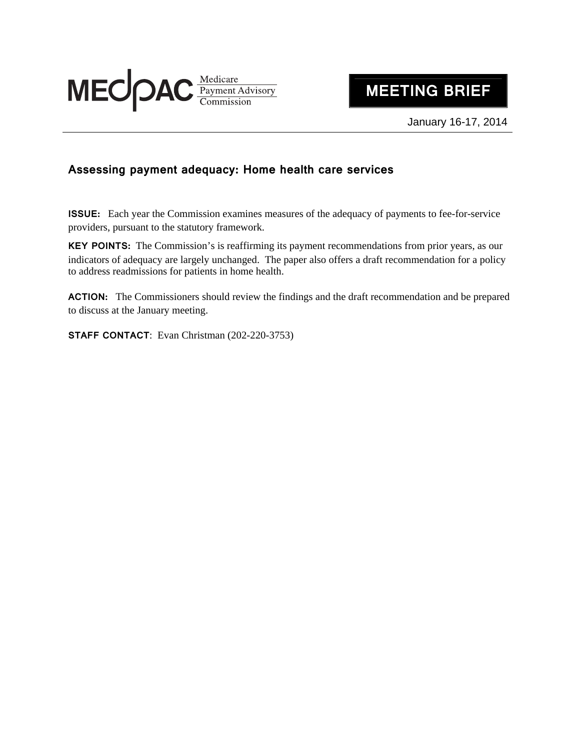

## **MEETING BRIEF**

January 16-17, 2014

## **Assessing payment adequacy: Home health care services**

**ISSUE:** Each year the Commission examines measures of the adequacy of payments to fee-for-service providers, pursuant to the statutory framework.

**KEY POINTS:** The Commission's is reaffirming its payment recommendations from prior years, as our indicators of adequacy are largely unchanged. The paper also offers a draft recommendation for a policy to address readmissions for patients in home health.

ACTION: The Commissioners should review the findings and the draft recommendation and be prepared to discuss at the January meeting.

**STAFF CONTACT**: Evan Christman (202-220-3753)